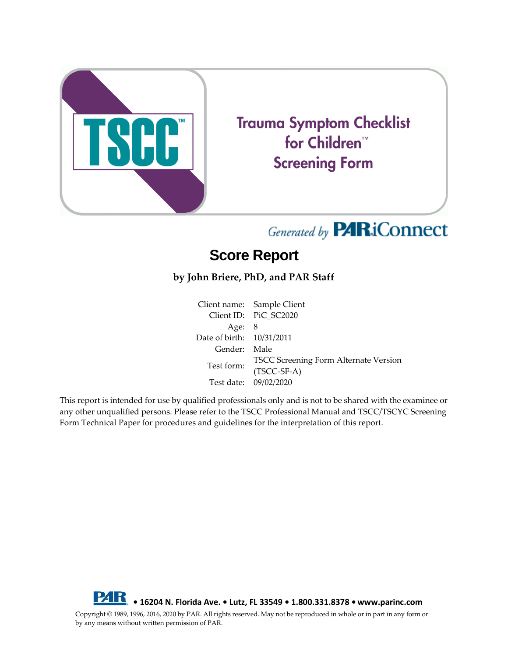

**Trauma Symptom Checklist** for Children<sup>™</sup> **Screening Form** 

# Generated by **PARiConnect**

## **Score Report**

#### **by John Briere, PhD, and PAR Staff**

Client name: Sample Client Client ID: PiC\_SC2020 Age: 8 Date of birth: 10/31/2011 Gender: Male TSCC Screening Form Alternate Version (TSCC-SF-A) Test date: 09/02/2020

This report is intended for use by qualified professionals only and is not to be shared with the examinee or any other unqualified persons. Please refer to the TSCC Professional Manual and TSCC/TSCYC Screening Form Technical Paper for procedures and guidelines for the interpretation of this report.



Copyright © 1989, 1996, 2016, 2020 by PAR. All rights reserved. May not be reproduced in whole or in part in any form or by any means without written permission of PAR.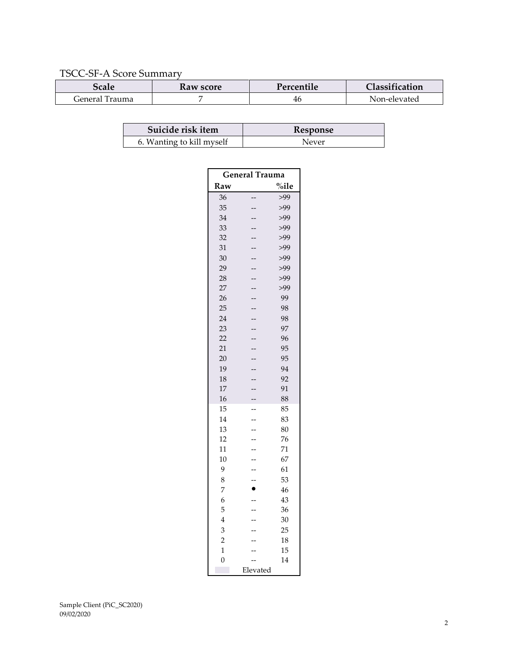#### TSCC-SF-A Score Summary

| <i><b>bcale</b></i> | Kaw score | Percentile | Classification |
|---------------------|-----------|------------|----------------|
| General<br>'Trauma  |           | 46         | Non-elevated   |

| Suicide risk item         | <b>Response</b> |
|---------------------------|-----------------|
| 6. Wanting to kill myself | Never           |

| <b>General Trauma</b> |           |          |  |  |
|-----------------------|-----------|----------|--|--|
| Raw                   |           | $\%$ ile |  |  |
| 36                    |           | >99      |  |  |
| 35                    |           | >99      |  |  |
| 34                    |           | >99      |  |  |
| 33                    |           | >99      |  |  |
| 32                    |           | >99      |  |  |
| 31                    |           | >99      |  |  |
| 30                    |           | >99      |  |  |
| 29                    |           | >99      |  |  |
| 28                    |           | >99      |  |  |
| 27                    |           | >99      |  |  |
| 26                    |           | 99       |  |  |
| 25                    |           | 98       |  |  |
| 24                    |           | 98       |  |  |
| 23                    |           | 97       |  |  |
| 22                    |           | 96       |  |  |
| 21                    |           | 95       |  |  |
| 20                    |           | 95       |  |  |
| 19                    |           | 94       |  |  |
| 18                    |           | 92       |  |  |
| 17                    |           | 91       |  |  |
| 16                    |           | 88       |  |  |
| 15                    |           | 85       |  |  |
| 14                    |           | 83       |  |  |
| 13                    |           | 80       |  |  |
| 12                    |           | 76       |  |  |
| 11                    |           | 71       |  |  |
| 10                    |           | 67       |  |  |
| 9                     |           | 61       |  |  |
| 8                     |           | 53       |  |  |
| 7                     | $\bullet$ | 46       |  |  |
| 6                     |           | 43       |  |  |
| 5                     |           | 36       |  |  |
| $\overline{4}$        |           | 30       |  |  |
| 3                     |           | 25       |  |  |
| $\overline{2}$        |           | 18       |  |  |
| $\overline{1}$        |           | 15       |  |  |
| $\overline{0}$        |           | 14       |  |  |
| Elevated              |           |          |  |  |